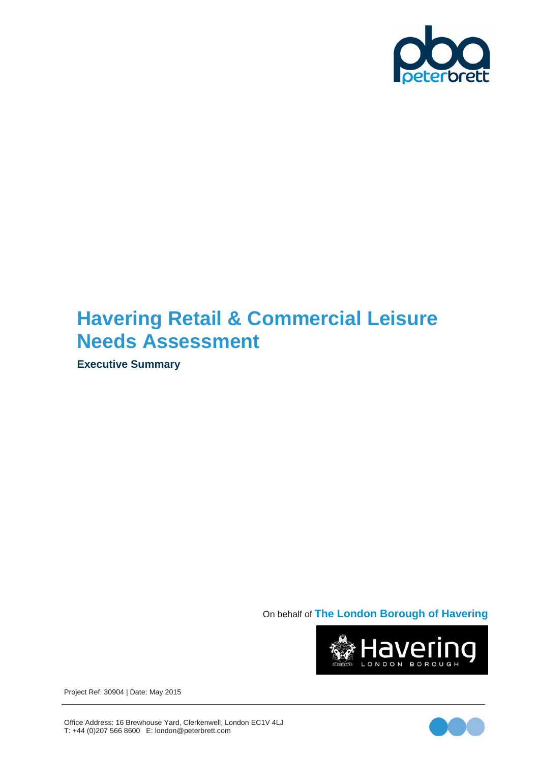

# **Havering Retail & Commercial Leisure Needs Assessment**

**Executive Summary** 

On behalf of **The London Borough of Havering** 



Project Ref: 30904 | Date: May 2015

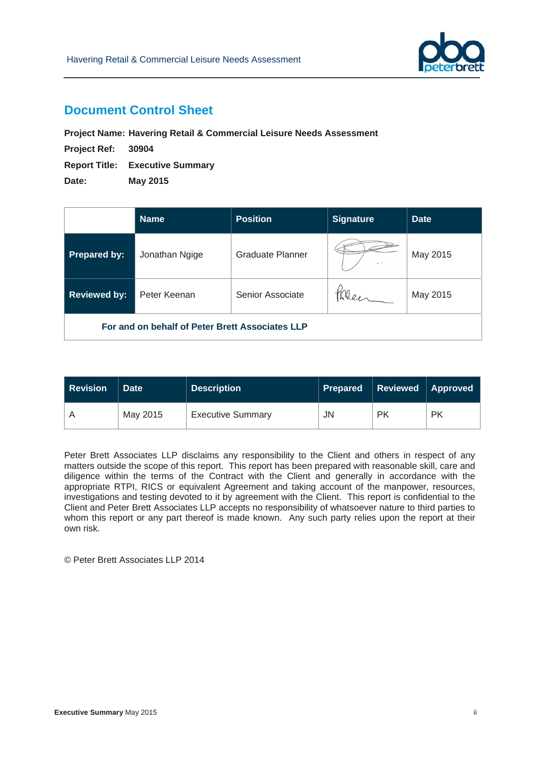

### **Document Control Sheet**

**Project Name: Havering Retail & Commercial Leisure Needs Assessment** 

**Project Ref: 30904** 

**Report Title: Executive Summary** 

 **Date: May 2015** 

|                                                 | <b>Name</b>    | <b>Position</b>  | <b>Signature</b>     | <b>Date</b> |  |  |  |
|-------------------------------------------------|----------------|------------------|----------------------|-------------|--|--|--|
| <b>Prepared by:</b>                             | Jonathan Ngige | Graduate Planner | $\ddot{\phantom{1}}$ | May 2015    |  |  |  |
| <b>Reviewed by:</b>                             | Peter Keenan   | Senior Associate | there                | May 2015    |  |  |  |
| For and on behalf of Peter Brett Associates LLP |                |                  |                      |             |  |  |  |

| Revision | ∣ Date   | <b>Description</b>       |    | Prepared Reviewed Approved |           |
|----------|----------|--------------------------|----|----------------------------|-----------|
|          | May 2015 | <b>Executive Summary</b> | JN | PK                         | <b>PK</b> |

Peter Brett Associates LLP disclaims any responsibility to the Client and others in respect of any matters outside the scope of this report. This report has been prepared with reasonable skill, care and diligence within the terms of the Contract with the Client and generally in accordance with the appropriate RTPI, RICS or equivalent Agreement and taking account of the manpower, resources, investigations and testing devoted to it by agreement with the Client. This report is confidential to the Client and Peter Brett Associates LLP accepts no responsibility of whatsoever nature to third parties to whom this report or any part thereof is made known. Any such party relies upon the report at their own risk.

© Peter Brett Associates LLP 2014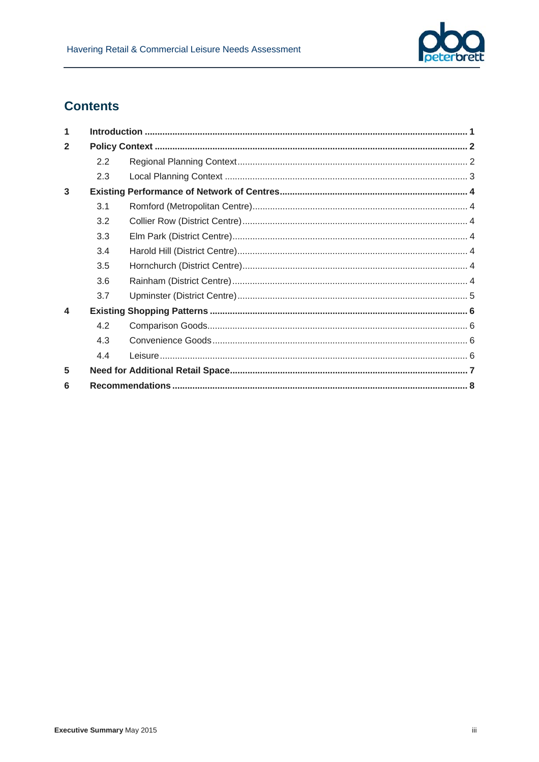

### **Contents**

| 1              |               |  |  |  |  |  |
|----------------|---------------|--|--|--|--|--|
| $\overline{2}$ |               |  |  |  |  |  |
|                | $2.2^{\circ}$ |  |  |  |  |  |
|                | 2.3           |  |  |  |  |  |
| 3              |               |  |  |  |  |  |
|                | 3.1           |  |  |  |  |  |
|                | 3.2           |  |  |  |  |  |
|                | 3.3           |  |  |  |  |  |
|                | 3.4           |  |  |  |  |  |
|                | 3.5           |  |  |  |  |  |
|                | 3.6           |  |  |  |  |  |
|                | 3.7           |  |  |  |  |  |
| 4              |               |  |  |  |  |  |
|                | 4.2           |  |  |  |  |  |
|                | 4.3           |  |  |  |  |  |
|                | 4.4           |  |  |  |  |  |
| 5              |               |  |  |  |  |  |
| 6              |               |  |  |  |  |  |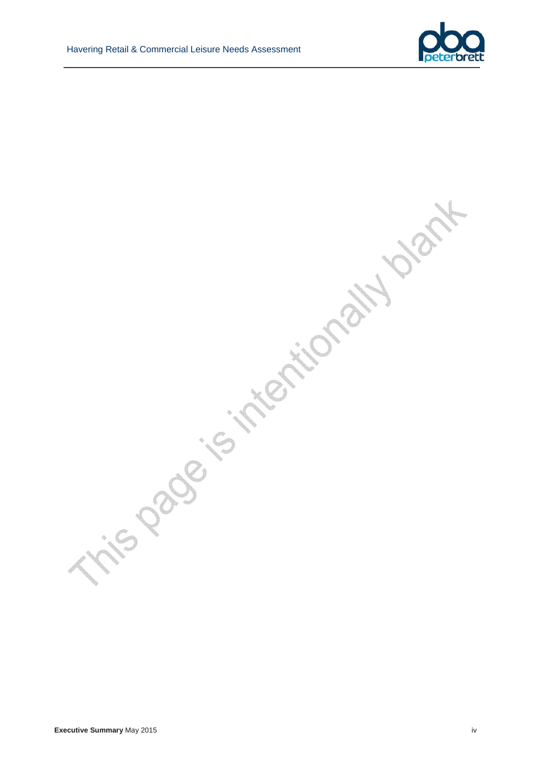

This page is intentionally bank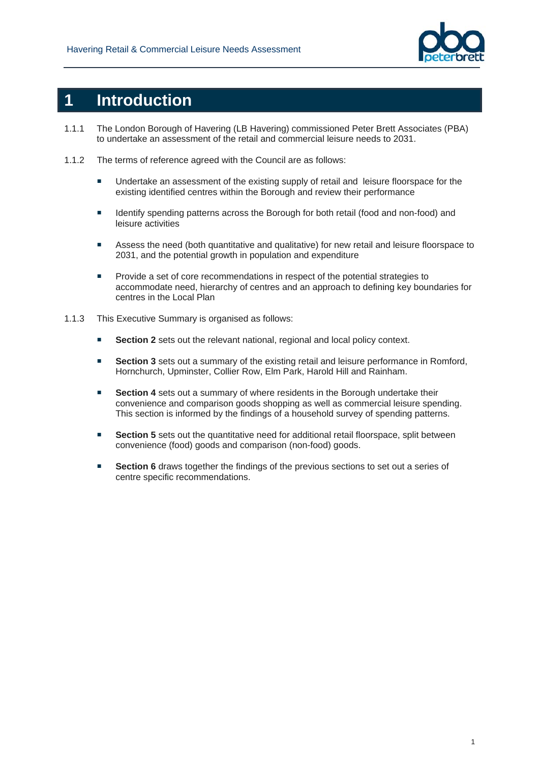

### **1 Introduction**

- 1.1.1 The London Borough of Havering (LB Havering) commissioned Peter Brett Associates (PBA) to undertake an assessment of the retail and commercial leisure needs to 2031.
- 1.1.2 The terms of reference agreed with the Council are as follows:
	- **Undertake an assessment of the existing supply of retail and leisure floorspace for the** existing identified centres within the Borough and review their performance
	- Identify spending patterns across the Borough for both retail (food and non-food) and leisure activities
	- **EXECTS** Assess the need (both quantitative and qualitative) for new retail and leisure floorspace to 2031, and the potential growth in population and expenditure
	- **Provide a set of core recommendations in respect of the potential strategies to** accommodate need, hierarchy of centres and an approach to defining key boundaries for centres in the Local Plan
- 1.1.3 This Executive Summary is organised as follows:
	- **Section 2** sets out the relevant national, regional and local policy context.
	- **Section 3** sets out a summary of the existing retail and leisure performance in Romford, Hornchurch, Upminster, Collier Row, Elm Park, Harold Hill and Rainham.
	- **Section 4** sets out a summary of where residents in the Borough undertake their convenience and comparison goods shopping as well as commercial leisure spending. This section is informed by the findings of a household survey of spending patterns.
	- **Section 5** sets out the quantitative need for additional retail floorspace, split between convenience (food) goods and comparison (non-food) goods.
	- **Section 6** draws together the findings of the previous sections to set out a series of centre specific recommendations.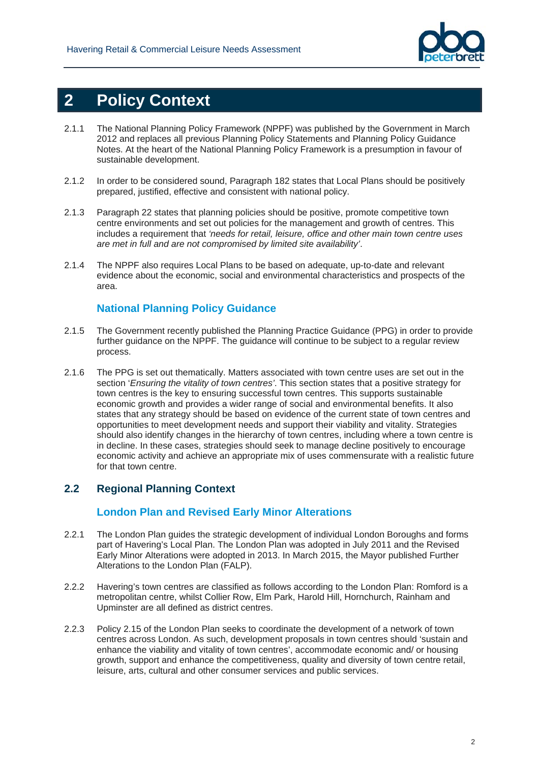

### **2 Policy Context**

- 2.1.1 The National Planning Policy Framework (NPPF) was published by the Government in March 2012 and replaces all previous Planning Policy Statements and Planning Policy Guidance Notes. At the heart of the National Planning Policy Framework is a presumption in favour of sustainable development.
- 2.1.2 In order to be considered sound, Paragraph 182 states that Local Plans should be positively prepared, justified, effective and consistent with national policy.
- 2.1.3 Paragraph 22 states that planning policies should be positive, promote competitive town centre environments and set out policies for the management and growth of centres. This includes a requirement that *'needs for retail, leisure, office and other main town centre uses are met in full and are not compromised by limited site availability'*.
- 2.1.4 The NPPF also requires Local Plans to be based on adequate, up-to-date and relevant evidence about the economic, social and environmental characteristics and prospects of the area.

### **National Planning Policy Guidance**

- 2.1.5 The Government recently published the Planning Practice Guidance (PPG) in order to provide further guidance on the NPPF. The guidance will continue to be subject to a regular review process.
- 2.1.6 The PPG is set out thematically. Matters associated with town centre uses are set out in the section '*Ensuring the vitality of town centres'*. This section states that a positive strategy for town centres is the key to ensuring successful town centres. This supports sustainable economic growth and provides a wider range of social and environmental benefits. It also states that any strategy should be based on evidence of the current state of town centres and opportunities to meet development needs and support their viability and vitality. Strategies should also identify changes in the hierarchy of town centres, including where a town centre is in decline. In these cases, strategies should seek to manage decline positively to encourage economic activity and achieve an appropriate mix of uses commensurate with a realistic future for that town centre.

### **2.2 Regional Planning Context**

### **London Plan and Revised Early Minor Alterations**

- 2.2.1 The London Plan guides the strategic development of individual London Boroughs and forms part of Havering's Local Plan. The London Plan was adopted in July 2011 and the Revised Early Minor Alterations were adopted in 2013. In March 2015, the Mayor published Further Alterations to the London Plan (FALP).
- 2.2.2 Havering's town centres are classified as follows according to the London Plan: Romford is a metropolitan centre, whilst Collier Row, Elm Park, Harold Hill, Hornchurch, Rainham and Upminster are all defined as district centres.
- 2.2.3 Policy 2.15 of the London Plan seeks to coordinate the development of a network of town centres across London. As such, development proposals in town centres should 'sustain and enhance the viability and vitality of town centres', accommodate economic and/ or housing growth, support and enhance the competitiveness, quality and diversity of town centre retail, leisure, arts, cultural and other consumer services and public services.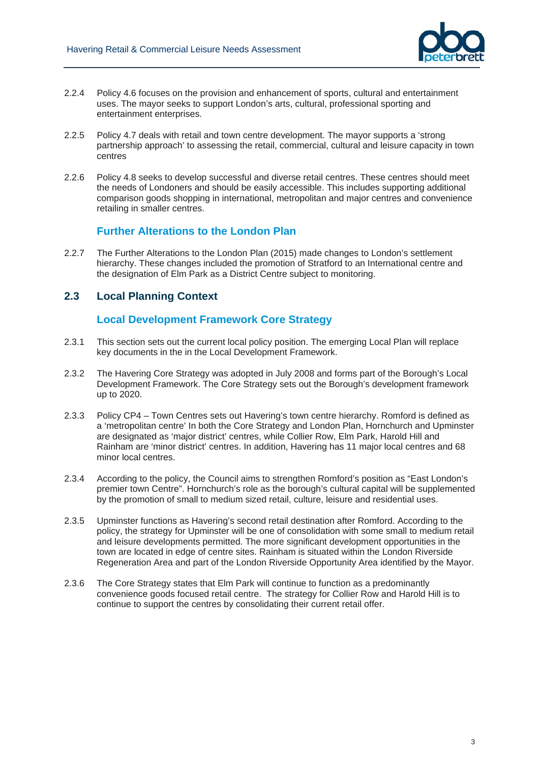

- 2.2.4 Policy 4.6 focuses on the provision and enhancement of sports, cultural and entertainment uses. The mayor seeks to support London's arts, cultural, professional sporting and entertainment enterprises.
- 2.2.5 Policy 4.7 deals with retail and town centre development. The mayor supports a 'strong partnership approach' to assessing the retail, commercial, cultural and leisure capacity in town centres
- 2.2.6 Policy 4.8 seeks to develop successful and diverse retail centres. These centres should meet the needs of Londoners and should be easily accessible. This includes supporting additional comparison goods shopping in international, metropolitan and major centres and convenience retailing in smaller centres.

### **Further Alterations to the London Plan**

2.2.7 The Further Alterations to the London Plan (2015) made changes to London's settlement hierarchy. These changes included the promotion of Stratford to an International centre and the designation of Elm Park as a District Centre subject to monitoring.

### **2.3 Local Planning Context**

### **Local Development Framework Core Strategy**

- 2.3.1 This section sets out the current local policy position. The emerging Local Plan will replace key documents in the in the Local Development Framework.
- 2.3.2 The Havering Core Strategy was adopted in July 2008 and forms part of the Borough's Local Development Framework. The Core Strategy sets out the Borough's development framework up to 2020.
- 2.3.3 Policy CP4 Town Centres sets out Havering's town centre hierarchy. Romford is defined as a 'metropolitan centre' In both the Core Strategy and London Plan, Hornchurch and Upminster are designated as 'major district' centres, while Collier Row, Elm Park, Harold Hill and Rainham are 'minor district' centres. In addition, Havering has 11 major local centres and 68 minor local centres.
- 2.3.4 According to the policy, the Council aims to strengthen Romford's position as "East London's premier town Centre". Hornchurch's role as the borough's cultural capital will be supplemented by the promotion of small to medium sized retail, culture, leisure and residential uses.
- 2.3.5 Upminster functions as Havering's second retail destination after Romford. According to the policy, the strategy for Upminster will be one of consolidation with some small to medium retail and leisure developments permitted. The more significant development opportunities in the town are located in edge of centre sites. Rainham is situated within the London Riverside Regeneration Area and part of the London Riverside Opportunity Area identified by the Mayor.
- 2.3.6 The Core Strategy states that Elm Park will continue to function as a predominantly convenience goods focused retail centre. The strategy for Collier Row and Harold Hill is to continue to support the centres by consolidating their current retail offer.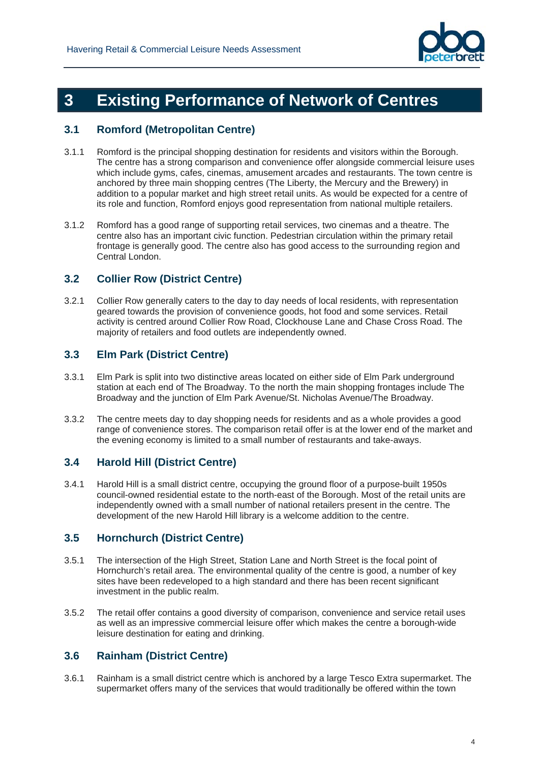

## **3 Existing Performance of Network of Centres**

### **3.1 Romford (Metropolitan Centre)**

- 3.1.1 Romford is the principal shopping destination for residents and visitors within the Borough. The centre has a strong comparison and convenience offer alongside commercial leisure uses which include gyms, cafes, cinemas, amusement arcades and restaurants. The town centre is anchored by three main shopping centres (The Liberty, the Mercury and the Brewery) in addition to a popular market and high street retail units. As would be expected for a centre of its role and function, Romford enjoys good representation from national multiple retailers.
- 3.1.2 Romford has a good range of supporting retail services, two cinemas and a theatre. The centre also has an important civic function. Pedestrian circulation within the primary retail frontage is generally good. The centre also has good access to the surrounding region and Central London.

### **3.2 Collier Row (District Centre)**

3.2.1 Collier Row generally caters to the day to day needs of local residents, with representation geared towards the provision of convenience goods, hot food and some services. Retail activity is centred around Collier Row Road, Clockhouse Lane and Chase Cross Road. The majority of retailers and food outlets are independently owned.

### **3.3 Elm Park (District Centre)**

- 3.3.1 Elm Park is split into two distinctive areas located on either side of Elm Park underground station at each end of The Broadway. To the north the main shopping frontages include The Broadway and the junction of Elm Park Avenue/St. Nicholas Avenue/The Broadway.
- 3.3.2 The centre meets day to day shopping needs for residents and as a whole provides a good range of convenience stores. The comparison retail offer is at the lower end of the market and the evening economy is limited to a small number of restaurants and take-aways.

### **3.4 Harold Hill (District Centre)**

3.4.1 Harold Hill is a small district centre, occupying the ground floor of a purpose-built 1950s council-owned residential estate to the north-east of the Borough. Most of the retail units are independently owned with a small number of national retailers present in the centre. The development of the new Harold Hill library is a welcome addition to the centre.

### **3.5 Hornchurch (District Centre)**

- 3.5.1 The intersection of the High Street, Station Lane and North Street is the focal point of Hornchurch's retail area. The environmental quality of the centre is good, a number of key sites have been redeveloped to a high standard and there has been recent significant investment in the public realm.
- 3.5.2 The retail offer contains a good diversity of comparison, convenience and service retail uses as well as an impressive commercial leisure offer which makes the centre a borough-wide leisure destination for eating and drinking.

### **3.6 Rainham (District Centre)**

3.6.1 Rainham is a small district centre which is anchored by a large Tesco Extra supermarket. The supermarket offers many of the services that would traditionally be offered within the town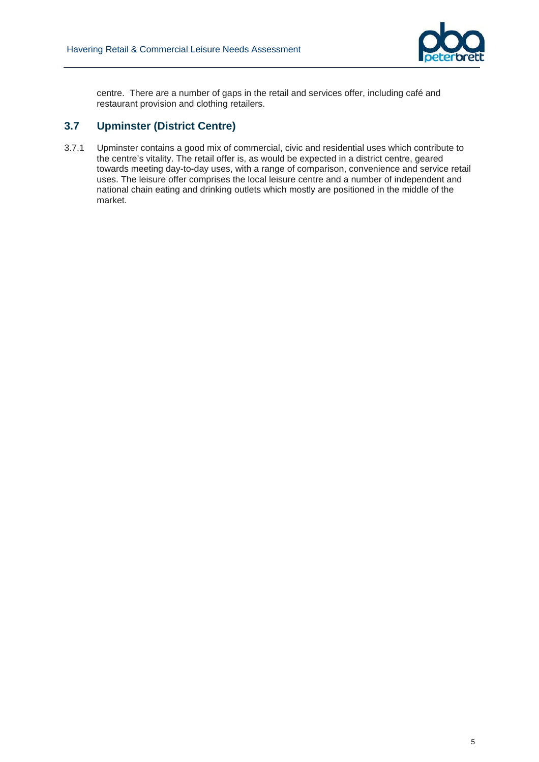

centre. There are a number of gaps in the retail and services offer, including café and restaurant provision and clothing retailers.

### **3.7 Upminster (District Centre)**

3.7.1 Upminster contains a good mix of commercial, civic and residential uses which contribute to the centre's vitality. The retail offer is, as would be expected in a district centre, geared towards meeting day-to-day uses, with a range of comparison, convenience and service retail uses. The leisure offer comprises the local leisure centre and a number of independent and national chain eating and drinking outlets which mostly are positioned in the middle of the market.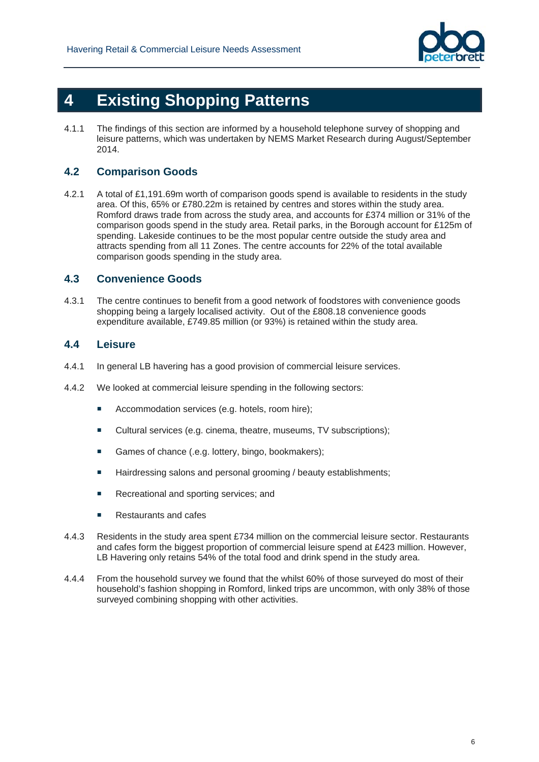

## **4 Existing Shopping Patterns**

4.1.1 The findings of this section are informed by a household telephone survey of shopping and leisure patterns, which was undertaken by NEMS Market Research during August/September 2014.

### **4.2 Comparison Goods**

4.2.1 A total of £1,191.69m worth of comparison goods spend is available to residents in the study area. Of this, 65% or £780.22m is retained by centres and stores within the study area. Romford draws trade from across the study area, and accounts for £374 million or 31% of the comparison goods spend in the study area. Retail parks, in the Borough account for £125m of spending. Lakeside continues to be the most popular centre outside the study area and attracts spending from all 11 Zones. The centre accounts for 22% of the total available comparison goods spending in the study area.

### **4.3 Convenience Goods**

4.3.1 The centre continues to benefit from a good network of foodstores with convenience goods shopping being a largely localised activity. Out of the £808.18 convenience goods expenditure available, £749.85 million (or 93%) is retained within the study area.

### **4.4 Leisure**

- 4.4.1 In general LB havering has a good provision of commercial leisure services.
- 4.4.2 We looked at commercial leisure spending in the following sectors:
	- Accommodation services (e.g. hotels, room hire);
	- Cultural services (e.g. cinema, theatre, museums, TV subscriptions);
	- Games of chance (.e.g. lottery, bingo, bookmakers);
	- Hairdressing salons and personal grooming / beauty establishments:
	- Recreational and sporting services; and
	- Restaurants and cafes
- 4.4.3 Residents in the study area spent £734 million on the commercial leisure sector. Restaurants and cafes form the biggest proportion of commercial leisure spend at £423 million. However, LB Havering only retains 54% of the total food and drink spend in the study area.
- 4.4.4 From the household survey we found that the whilst 60% of those surveyed do most of their household's fashion shopping in Romford, linked trips are uncommon, with only 38% of those surveyed combining shopping with other activities.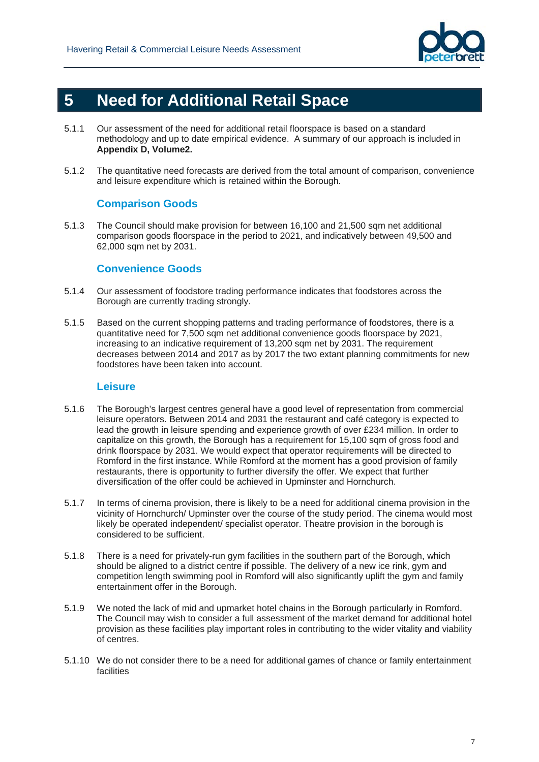

# **5 Need for Additional Retail Space**

- **Appendix D, Volume2.** 5.1.1 Our assessment of the need for additional retail floorspace is based on a standard methodology and up to date empirical evidence. A summary of our approach is included in
- 5.1.2 The quantitative need forecasts are derived from the total amount of comparison, convenience and leisure expenditure which is retained within the Borough.

### **Comparison Goods**

5.1.3 The Council should make provision for between 16,100 and 21,500 sqm net additional comparison goods floorspace in the period to 2021, and indicatively between 49,500 and 62,000 sqm net by 2031.

### **Convenience Goods**

- 5.1.4 Our assessment of foodstore trading performance indicates that foodstores across the Borough are currently trading strongly.
- 5.1.5 Based on the current shopping patterns and trading performance of foodstores, there is a quantitative need for 7,500 sqm net additional convenience goods floorspace by 2021, increasing to an indicative requirement of 13,200 sqm net by 2031. The requirement decreases between 2014 and 2017 as by 2017 the two extant planning commitments for new foodstores have been taken into account.

#### **Leisure**

- 5.1.6 The Borough's largest centres general have a good level of representation from commercial leisure operators. Between 2014 and 2031 the restaurant and café category is expected to lead the growth in leisure spending and experience growth of over £234 million. In order to capitalize on this growth, the Borough has a requirement for 15,100 sqm of gross food and drink floorspace by 2031. We would expect that operator requirements will be directed to Romford in the first instance. While Romford at the moment has a good provision of family restaurants, there is opportunity to further diversify the offer. We expect that further diversification of the offer could be achieved in Upminster and Hornchurch.
- 5.1.7 In terms of cinema provision, there is likely to be a need for additional cinema provision in the vicinity of Hornchurch/ Upminster over the course of the study period. The cinema would most likely be operated independent/ specialist operator. Theatre provision in the borough is considered to be sufficient.
- 5.1.8 There is a need for privately-run gym facilities in the southern part of the Borough, which should be aligned to a district centre if possible. The delivery of a new ice rink, gym and competition length swimming pool in Romford will also significantly uplift the gym and family entertainment offer in the Borough.
- 5.1.9 We noted the lack of mid and upmarket hotel chains in the Borough particularly in Romford. The Council may wish to consider a full assessment of the market demand for additional hotel provision as these facilities play important roles in contributing to the wider vitality and viability of centres.
- 5.1.10 We do not consider there to be a need for additional games of chance or family entertainment facilities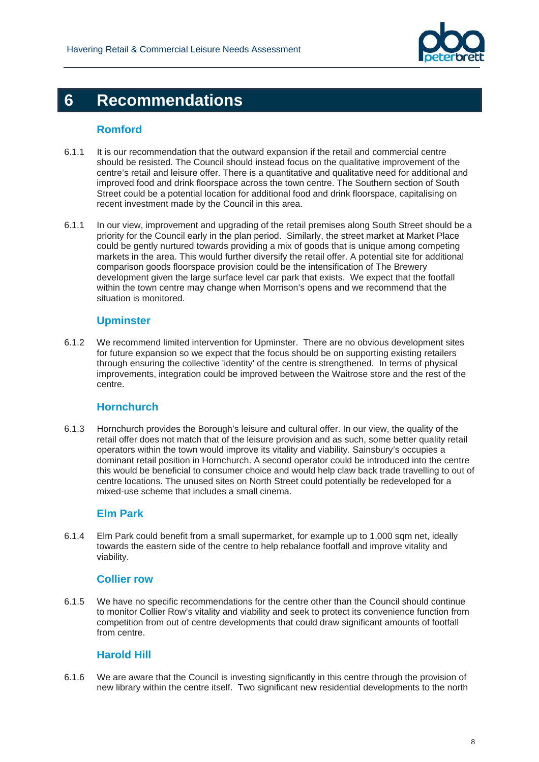

## **6 Recommendations**

#### **Romford**

- 6.1.1 It is our recommendation that the outward expansion if the retail and commercial centre should be resisted. The Council should instead focus on the qualitative improvement of the centre's retail and leisure offer. There is a quantitative and qualitative need for additional and improved food and drink floorspace across the town centre. The Southern section of South Street could be a potential location for additional food and drink floorspace, capitalising on recent investment made by the Council in this area.
- 6.1.1 In our view, improvement and upgrading of the retail premises along South Street should be a priority for the Council early in the plan period. Similarly, the street market at Market Place could be gently nurtured towards providing a mix of goods that is unique among competing markets in the area. This would further diversify the retail offer. A potential site for additional comparison goods floorspace provision could be the intensification of The Brewery development given the large surface level car park that exists. We expect that the footfall within the town centre may change when Morrison's opens and we recommend that the situation is monitored.

### **Upminster**

6.1.2 We recommend limited intervention for Upminster. There are no obvious development sites for future expansion so we expect that the focus should be on supporting existing retailers through ensuring the collective 'identity' of the centre is strengthened. In terms of physical improvements, integration could be improved between the Waitrose store and the rest of the centre.

### **Hornchurch**

6.1.3 Hornchurch provides the Borough's leisure and cultural offer. In our view, the quality of the retail offer does not match that of the leisure provision and as such, some better quality retail operators within the town would improve its vitality and viability. Sainsbury's occupies a dominant retail position in Hornchurch. A second operator could be introduced into the centre this would be beneficial to consumer choice and would help claw back trade travelling to out of centre locations. The unused sites on North Street could potentially be redeveloped for a mixed-use scheme that includes a small cinema.

### **Elm Park**

6.1.4 Elm Park could benefit from a small supermarket, for example up to 1,000 sqm net, ideally towards the eastern side of the centre to help rebalance footfall and improve vitality and viability.

#### **Collier row**

6.1.5 We have no specific recommendations for the centre other than the Council should continue to monitor Collier Row's vitality and viability and seek to protect its convenience function from competition from out of centre developments that could draw significant amounts of footfall from centre.

### **Harold Hill**

6.1.6 We are aware that the Council is investing significantly in this centre through the provision of new library within the centre itself. Two significant new residential developments to the north